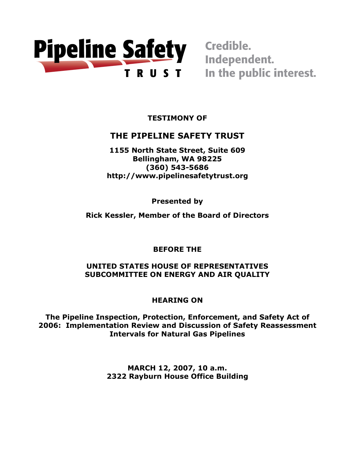

In the public interest.

**TESTIMONY OF** 

# **THE PIPELINE SAFETY TRUST**

**1155 North State Street, Suite 609 Bellingham, WA 98225 (360) 543-5686 http://www.pipelinesafetytrust.org**

**Presented by**

**Rick Kessler, Member of the Board of Directors**

**BEFORE THE** 

**UNITED STATES HOUSE OF REPRESENTATIVES SUBCOMMITTEE ON ENERGY AND AIR QUALITY**

**HEARING ON**

**The Pipeline Inspection, Protection, Enforcement, and Safety Act of 2006: Implementation Review and Discussion of Safety Reassessment Intervals for Natural Gas Pipelines**

> **MARCH 12, 2007, 10 a.m. 2322 Rayburn House Office Building**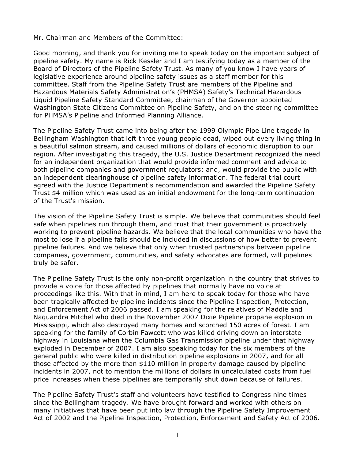Mr. Chairman and Members of the Committee:

Good morning, and thank you for inviting me to speak today on the important subject of pipeline safety. My name is Rick Kessler and I am testifying today as a member of the Board of Directors of the Pipeline Safety Trust. As many of you know I have years of legislative experience around pipeline safety issues as a staff member for this committee. Staff from the Pipeline Safety Trust are members of the Pipeline and Hazardous Materials Safety Administration's (PHMSA) Safety's Technical Hazardous Liquid Pipeline Safety Standard Committee, chairman of the Governor appointed Washington State Citizens Committee on Pipeline Safety, and on the steering committee for PHMSA's Pipeline and Informed Planning Alliance.

The Pipeline Safety Trust came into being after the 1999 Olympic Pipe Line tragedy in Bellingham Washington that left three young people dead, wiped out every living thing in a beautiful salmon stream, and caused millions of dollars of economic disruption to our region. After investigating this tragedy, the U.S. Justice Department recognized the need for an independent organization that would provide informed comment and advice to both pipeline companies and government regulators; and, would provide the public with an independent clearinghouse of pipeline safety information. The federal trial court agreed with the Justice Department's recommendation and awarded the Pipeline Safety Trust \$4 million which was used as an initial endowment for the long-term continuation of the Trust's mission.

The vision of the Pipeline Safety Trust is simple. We believe that communities should feel safe when pipelines run through them, and trust that their government is proactively working to prevent pipeline hazards. We believe that the local communities who have the most to lose if a pipeline fails should be included in discussions of how better to prevent pipeline failures. And we believe that only when trusted partnerships between pipeline companies, government, communities, and safety advocates are formed, will pipelines truly be safer.

The Pipeline Safety Trust is the only non-profit organization in the country that strives to provide a voice for those affected by pipelines that normally have no voice at proceedings like this. With that in mind, I am here to speak today for those who have been tragically affected by pipeline incidents since the Pipeline Inspection, Protection, and Enforcement Act of 2006 passed. I am speaking for the relatives of Maddie and Naquandra Mitchel who died in the November 2007 Dixie Pipeline propane explosion in Mississippi, which also destroyed many homes and scorched 150 acres of forest. I am speaking for the family of Corbin Fawcett who was killed driving down an interstate highway in Louisiana when the Columbia Gas Transmission pipeline under that highway exploded in December of 2007. I am also speaking today for the six members of the general public who were killed in distribution pipeline explosions in 2007, and for all those affected by the more than \$110 million in property damage caused by pipeline incidents in 2007, not to mention the millions of dollars in uncalculated costs from fuel price increases when these pipelines are temporarily shut down because of failures.

The Pipeline Safety Trust's staff and volunteers have testified to Congress nine times since the Bellingham tragedy. We have brought forward and worked with others on many initiatives that have been put into law through the Pipeline Safety Improvement Act of 2002 and the Pipeline Inspection, Protection, Enforcement and Safety Act of 2006.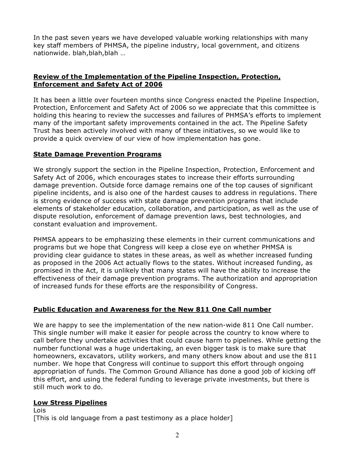In the past seven years we have developed valuable working relationships with many key staff members of PHMSA, the pipeline industry, local government, and citizens nationwide. blah,blah,blah …

## **Review of the Implementation of the Pipeline Inspection, Protection, Enforcement and Safety Act of 2006**

It has been a little over fourteen months since Congress enacted the Pipeline Inspection, Protection, Enforcement and Safety Act of 2006 so we appreciate that this committee is holding this hearing to review the successes and failures of PHMSA's efforts to implement many of the important safety improvements contained in the act. The Pipeline Safety Trust has been actively involved with many of these initiatives, so we would like to provide a quick overview of our view of how implementation has gone.

#### **State Damage Prevention Programs**

We strongly support the section in the Pipeline Inspection, Protection, Enforcement and Safety Act of 2006, which encourages states to increase their efforts surrounding damage prevention. Outside force damage remains one of the top causes of significant pipeline incidents, and is also one of the hardest causes to address in regulations. There is strong evidence of success with state damage prevention programs that include elements of stakeholder education, collaboration, and participation, as well as the use of dispute resolution, enforcement of damage prevention laws, best technologies, and constant evaluation and improvement.

PHMSA appears to be emphasizing these elements in their current communications and programs but we hope that Congress will keep a close eye on whether PHMSA is providing clear guidance to states in these areas, as well as whether increased funding as proposed in the 2006 Act actually flows to the states. Without increased funding, as promised in the Act, it is unlikely that many states will have the ability to increase the effectiveness of their damage prevention programs. The authorization and appropriation of increased funds for these efforts are the responsibility of Congress.

#### **Public Education and Awareness for the New 811 One Call number**

We are happy to see the implementation of the new nation-wide 811 One Call number. This single number will make it easier for people across the country to know where to call before they undertake activities that could cause harm to pipelines. While getting the number functional was a huge undertaking, an even bigger task is to make sure that homeowners, excavators, utility workers, and many others know about and use the 811 number. We hope that Congress will continue to support this effort through ongoing appropriation of funds. The Common Ground Alliance has done a good job of kicking off this effort, and using the federal funding to leverage private investments, but there is still much work to do.

#### **Low Stress Pipelines**

Lois [This is old language from a past testimony as a place holder]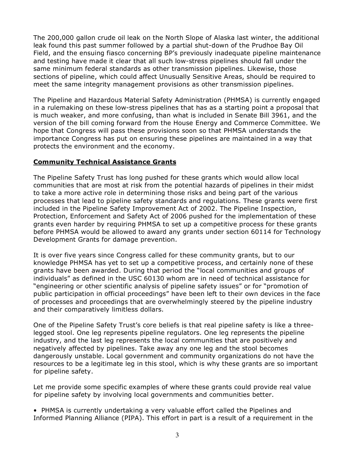The 200,000 gallon crude oil leak on the North Slope of Alaska last winter, the additional leak found this past summer followed by a partial shut-down of the Prudhoe Bay Oil Field, and the ensuing fiasco concerning BP's previously inadequate pipeline maintenance and testing have made it clear that all such low-stress pipelines should fall under the same minimum federal standards as other transmission pipelines. Likewise, those sections of pipeline, which could affect Unusually Sensitive Areas, should be required to meet the same integrity management provisions as other transmission pipelines.

The Pipeline and Hazardous Material Safety Administration (PHMSA) is currently engaged in a rulemaking on these low-stress pipelines that has as a starting point a proposal that is much weaker, and more confusing, than what is included in Senate Bill 3961, and the version of the bill coming forward from the House Energy and Commerce Committee. We hope that Congress will pass these provisions soon so that PHMSA understands the importance Congress has put on ensuring these pipelines are maintained in a way that protects the environment and the economy.

#### **Community Technical Assistance Grants**

The Pipeline Safety Trust has long pushed for these grants which would allow local communities that are most at risk from the potential hazards of pipelines in their midst to take a more active role in determining those risks and being part of the various processes that lead to pipeline safety standards and regulations. These grants were first included in the Pipeline Safety Improvement Act of 2002. The Pipeline Inspection, Protection, Enforcement and Safety Act of 2006 pushed for the implementation of these grants even harder by requiring PHMSA to set up a competitive process for these grants before PHMSA would be allowed to award any grants under section 60114 for Technology Development Grants for damage prevention.

It is over five years since Congress called for these community grants, but to our knowledge PHMSA has yet to set up a competitive process, and certainly none of these grants have been awarded. During that period the "local communities and groups of individuals" as defined in the USC 60130 whom are in need of technical assistance for "engineering or other scientific analysis of pipeline safety issues" or for "promotion of public participation in official proceedings" have been left to their own devices in the face of processes and proceedings that are overwhelmingly steered by the pipeline industry and their comparatively limitless dollars.

One of the Pipeline Safety Trust's core beliefs is that real pipeline safety is like a threelegged stool. One leg represents pipeline regulators. One leg represents the pipeline industry, and the last leg represents the local communities that are positively and negatively affected by pipelines. Take away any one leg and the stool becomes dangerously unstable. Local government and community organizations do not have the resources to be a legitimate leg in this stool, which is why these grants are so important for pipeline safety.

Let me provide some specific examples of where these grants could provide real value for pipeline safety by involving local governments and communities better.

• PHMSA is currently undertaking a very valuable effort called the Pipelines and Informed Planning Alliance (PIPA). This effort in part is a result of a requirement in the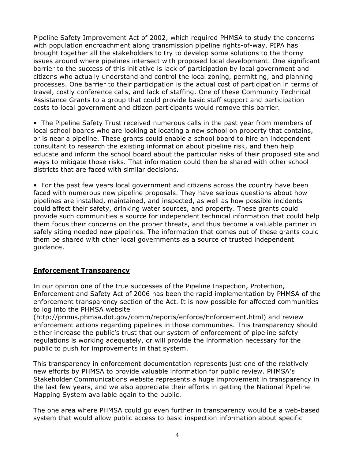Pipeline Safety Improvement Act of 2002, which required PHMSA to study the concerns with population encroachment along transmission pipeline rights-of-way. PIPA has brought together all the stakeholders to try to develop some solutions to the thorny issues around where pipelines intersect with proposed local development. One significant barrier to the success of this initiative is lack of participation by local government and citizens who actually understand and control the local zoning, permitting, and planning processes. One barrier to their participation is the actual cost of participation in terms of travel, costly conference calls, and lack of staffing. One of these Community Technical Assistance Grants to a group that could provide basic staff support and participation costs to local government and citizen participants would remove this barrier.

• The Pipeline Safety Trust received numerous calls in the past year from members of local school boards who are looking at locating a new school on property that contains, or is near a pipeline. These grants could enable a school board to hire an independent consultant to research the existing information about pipeline risk, and then help educate and inform the school board about the particular risks of their proposed site and ways to mitigate those risks. That information could then be shared with other school districts that are faced with similar decisions.

• For the past few years local government and citizens across the country have been faced with numerous new pipeline proposals. They have serious questions about how pipelines are installed, maintained, and inspected, as well as how possible incidents could affect their safety, drinking water sources, and property. These grants could provide such communities a source for independent technical information that could help them focus their concerns on the proper threats, and thus become a valuable partner in safely siting needed new pipelines. The information that comes out of these grants could them be shared with other local governments as a source of trusted independent guidance.

#### **Enforcement Transparency**

In our opinion one of the true successes of the Pipeline Inspection, Protection, Enforcement and Safety Act of 2006 has been the rapid implementation by PHMSA of the enforcement transparency section of the Act. It is now possible for affected communities to log into the PHMSA website

(http://primis.phmsa.dot.gov/comm/reports/enforce/Enforcement.html) and review enforcement actions regarding pipelines in those communities. This transparency should either increase the public's trust that our system of enforcement of pipeline safety regulations is working adequately, or will provide the information necessary for the public to push for improvements in that system.

This transparency in enforcement documentation represents just one of the relatively new efforts by PHMSA to provide valuable information for public review. PHMSA's Stakeholder Communications website represents a huge improvement in transparency in the last few years, and we also appreciate their efforts in getting the National Pipeline Mapping System available again to the public.

The one area where PHMSA could go even further in transparency would be a web-based system that would allow public access to basic inspection information about specific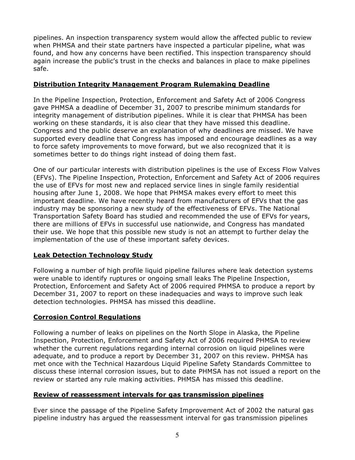pipelines. An inspection transparency system would allow the affected public to review when PHMSA and their state partners have inspected a particular pipeline, what was found, and how any concerns have been rectified. This inspection transparency should again increase the public's trust in the checks and balances in place to make pipelines safe.

### **Distribution Integrity Management Program Rulemaking Deadline**

In the Pipeline Inspection, Protection, Enforcement and Safety Act of 2006 Congress gave PHMSA a deadline of December 31, 2007 to prescribe minimum standards for integrity management of distribution pipelines. While it is clear that PHMSA has been working on these standards, it is also clear that they have missed this deadline. Congress and the public deserve an explanation of why deadlines are missed. We have supported every deadline that Congress has imposed and encourage deadlines as a way to force safety improvements to move forward, but we also recognized that it is sometimes better to do things right instead of doing them fast.

One of our particular interests with distribution pipelines is the use of Excess Flow Valves (EFVs). The Pipeline Inspection, Protection, Enforcement and Safety Act of 2006 requires the use of EFVs for most new and replaced service lines in single family residential housing after June 1, 2008. We hope that PHMSA makes every effort to meet this important deadline. We have recently heard from manufacturers of EFVs that the gas industry may be sponsoring a new study of the effectiveness of EFVs. The National Transportation Safety Board has studied and recommended the use of EFVs for years, there are millions of EFVs in successful use nationwide, and Congress has mandated their use. We hope that this possible new study is not an attempt to further delay the implementation of the use of these important safety devices.

# **Leak Detection Technology Study**

Following a number of high profile liquid pipeline failures where leak detection systems were unable to identify ruptures or ongoing small leaks The Pipeline Inspection, Protection, Enforcement and Safety Act of 2006 required PHMSA to produce a report by December 31, 2007 to report on these inadequacies and ways to improve such leak detection technologies. PHMSA has missed this deadline.

# **Corrosion Control Regulations**

Following a number of leaks on pipelines on the North Slope in Alaska, the Pipeline Inspection, Protection, Enforcement and Safety Act of 2006 required PHMSA to review whether the current regulations regarding internal corrosion on liquid pipelines were adequate, and to produce a report by December 31, 2007 on this review. PHMSA has met once with the Technical Hazardous Liquid Pipeline Safety Standards Committee to discuss these internal corrosion issues, but to date PHMSA has not issued a report on the review or started any rule making activities. PHMSA has missed this deadline.

#### **Review of reassessment intervals for gas transmission pipelines**

Ever since the passage of the Pipeline Safety Improvement Act of 2002 the natural gas pipeline industry has argued the reassessment interval for gas transmission pipelines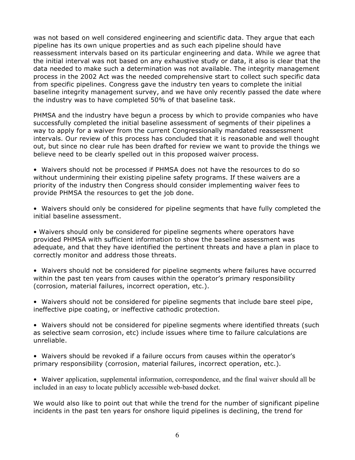was not based on well considered engineering and scientific data. They argue that each pipeline has its own unique properties and as such each pipeline should have reassessment intervals based on its particular engineering and data. While we agree that the initial interval was not based on any exhaustive study or data, it also is clear that the data needed to make such a determination was not available. The integrity management process in the 2002 Act was the needed comprehensive start to collect such specific data from specific pipelines. Congress gave the industry ten years to complete the initial baseline integrity management survey, and we have only recently passed the date where the industry was to have completed 50% of that baseline task.

PHMSA and the industry have begun a process by which to provide companies who have successfully completed the initial baseline assessment of segments of their pipelines a way to apply for a waiver from the current Congressionally mandated reassessment intervals. Our review of this process has concluded that it is reasonable and well thought out, but since no clear rule has been drafted for review we want to provide the things we believe need to be clearly spelled out in this proposed waiver process.

• Waivers should not be processed if PHMSA does not have the resources to do so without undermining their existing pipeline safety programs. If these waivers are a priority of the industry then Congress should consider implementing waiver fees to provide PHMSA the resources to get the job done.

• Waivers should only be considered for pipeline segments that have fully completed the initial baseline assessment.

• Waivers should only be considered for pipeline segments where operators have provided PHMSA with sufficient information to show the baseline assessment was adequate, and that they have identified the pertinent threats and have a plan in place to correctly monitor and address those threats.

• Waivers should not be considered for pipeline segments where failures have occurred within the past ten years from causes within the operator's primary responsibility (corrosion, material failures, incorrect operation, etc.).

• Waivers should not be considered for pipeline segments that include bare steel pipe, ineffective pipe coating, or ineffective cathodic protection.

• Waivers should not be considered for pipeline segments where identified threats (such as selective seam corrosion, etc) include issues where time to failure calculations are unreliable.

• Waivers should be revoked if a failure occurs from causes within the operator's primary responsibility (corrosion, material failures, incorrect operation, etc.).

• Waiver application, supplemental information, correspondence, and the final waiver should all be included in an easy to locate publicly accessible web-based docket.

We would also like to point out that while the trend for the number of significant pipeline incidents in the past ten years for onshore liquid pipelines is declining, the trend for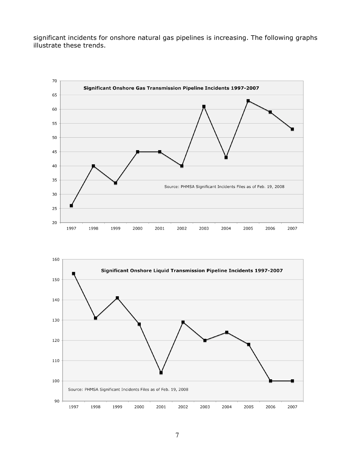significant incidents for onshore natural gas pipelines is increasing. The following graphs illustrate these trends.